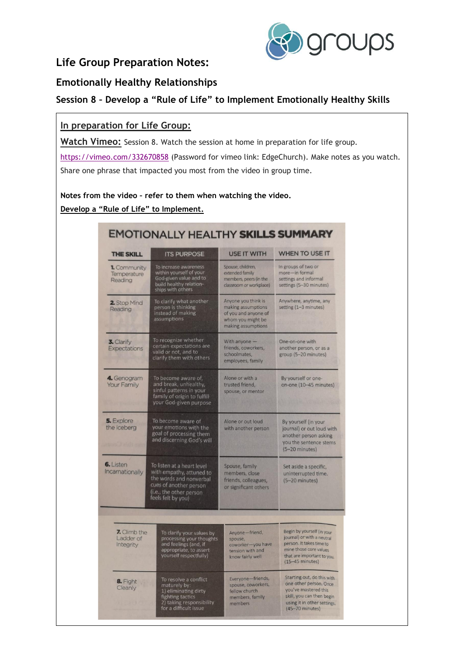

## **Life Group Preparation Notes:**

### **Emotionally Healthy Relationships**

## **Session 8 – Develop a "Rule of Life" to Implement Emotionally Healthy Skills**

### **In preparation for Life Group:**

**Watch Vimeo:** Session 8. Watch the session at home in preparation for life group. <https://vimeo.com/332670858> (Password for vimeo link: EdgeChurch). Make notes as you watch. Share one phrase that impacted you most from the video in group time.

**Notes from the video – refer to them when watching the video. Develop a "Rule of Life" to Implement.**

| <b>THE SKILL</b>                                                                                                                                                                                    | <b>ITS PURPOSE</b>                                                                                                                     | <b>USE IT WITH</b>                                                                                           | <b>WHEN TO USE IT</b>                                                                                                                                                 |
|-----------------------------------------------------------------------------------------------------------------------------------------------------------------------------------------------------|----------------------------------------------------------------------------------------------------------------------------------------|--------------------------------------------------------------------------------------------------------------|-----------------------------------------------------------------------------------------------------------------------------------------------------------------------|
| 1. Community<br>Temperature<br>Reading                                                                                                                                                              | To increase awareness<br>within yourself of your<br>God-given value and to<br>build healthy relation-<br>ships with others             | Spouse, children,<br>extended family<br>members, peers (in the<br>classroom or workplace)                    | In groups of two or<br>more-in formal<br>settings and informal<br>settings (5-30 minutes)                                                                             |
| 2. Stop Mind<br>Reading                                                                                                                                                                             | To clarify what another<br>person is thinking<br>instead of making<br>assumptions                                                      | Anyone you think is<br>making assumptions<br>of you and anyone of<br>whom you might be<br>making assumptions | Anywhere, anytime, any<br>setting (1-3 minutes)                                                                                                                       |
| 3. Clarify<br><b>Expectations</b>                                                                                                                                                                   | To recognize whether<br>certain expectations are<br>valid or not, and to<br>clarify them with others                                   | With anyone -<br>friends, coworkers,<br>schoolmates.<br>employees, family                                    | One-on-one with<br>another person, or as a<br>group (5-20 minutes)                                                                                                    |
| 4. Genogram<br><b>Your Family</b>                                                                                                                                                                   | To become aware of.<br>and break, unhealthy,<br>sinful patterns in your<br>family of origin to fulfill<br>your God-given purpose       | Alone or with a<br>trusted friend,<br>spouse, or mentor                                                      | By yourself or one-<br>on-one (10-45 minutes)                                                                                                                         |
| 5. Explore<br>the Iceberg                                                                                                                                                                           | To become aware of<br>your emotions with the<br>goal of processing them<br>and discerning God's will                                   | Alone or out loud<br>with another person                                                                     | By yourself (in your<br>journal) or out loud with<br>another person asking<br>you the sentence stems<br>$(5-20 \text{ minutes})$                                      |
| <b>6.</b> Listen<br>To listen at a heart level<br>Incarnationally<br>with empathy, attuned to<br>the words and nonverbal<br>cues of another person<br>(i.e., the other person<br>feels felt by you) |                                                                                                                                        | Spouse, family<br>members, close<br>friends, colleagues,<br>or significant others                            | Set aside a specific,<br>uninterrupted time.<br>(5-20 minutes)                                                                                                        |
| 7. Climb the<br>Ladder of<br>Integrity                                                                                                                                                              | To clarify your values by<br>processing your thoughts<br>and feelings (and, if<br>appropriate, to assert<br>yourself respectfully)     | Anyone-friend,<br>spouse,<br>coworker-you have<br>tension with and<br>know fairly well                       | Begin by yourself (in your<br>journal) or with a neutral<br>person. It takes time to<br>mine those core values<br>that are important to you.<br>$(15-45$ minutes)     |
| 8. Fight<br>Cleanly                                                                                                                                                                                 | To resolve a conflict<br>maturely by:<br>1) eliminating dirty<br>fighting tactics<br>2) taking responsibility<br>for a difficult issue | Everyone-friends,<br>spouse, coworkers,<br>fellow church<br>members, family<br>members                       | Starting out, do this with<br>one other person. Once<br>you've mastered this<br>skill, you can then begin<br>using it in other settings.<br>$(45-70 \text{ minutes})$ |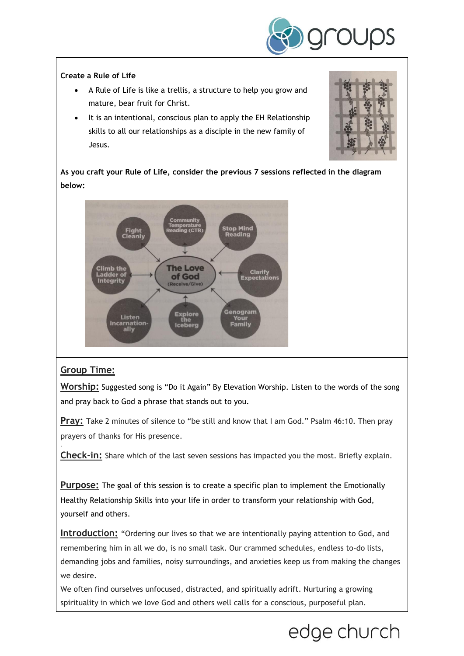

#### **Create a Rule of Life**

- A Rule of Life is like a trellis, a structure to help you grow and mature, bear fruit for Christ.
- It is an intentional, conscious plan to apply the EH Relationship skills to all our relationships as a disciple in the new family of Jesus.



**As you craft your Rule of Life, consider the previous 7 sessions reflected in the diagram below:**



### **Group Time:**

'

**Worship:** Suggested song is "Do it Again" By Elevation Worship. Listen to the words of the song and pray back to God a phrase that stands out to you.

**Pray:** Take 2 minutes of silence to "be still and know that I am God." Psalm 46:10. Then pray prayers of thanks for His presence.

**Check-in:** Share which of the last seven sessions has impacted you the most. Briefly explain.

**Purpose:** The goal of this session is to create a specific plan to implement the Emotionally Healthy Relationship Skills into your life in order to transform your relationship with God, yourself and others.

**Introduction:** "Ordering our lives so that we are intentionally paying attention to God, and remembering him in all we do, is no small task. Our crammed schedules, endless to-do lists, demanding jobs and families, noisy surroundings, and anxieties keep us from making the changes we desire.

We often find ourselves unfocused, distracted, and spiritually adrift. Nurturing a growing spirituality in which we love God and others well calls for a conscious, purposeful plan.

# edge church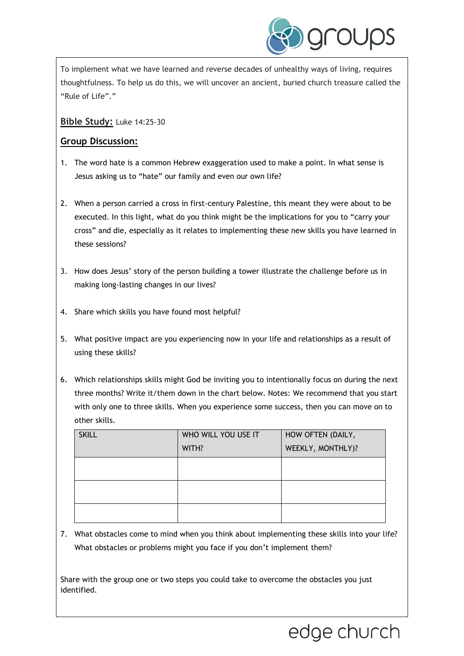

To implement what we have learned and reverse decades of unhealthy ways of living, requires thoughtfulness. To help us do this, we will uncover an ancient, buried church treasure called the "Rule of Life"."

### **Bible Study:** Luke 14:25-30

### **Group Discussion:**

- 1. The word hate is a common Hebrew exaggeration used to make a point. In what sense is Jesus asking us to "hate" our family and even our own life?
- 2. When a person carried a cross in first-century Palestine, this meant they were about to be executed. In this light, what do you think might be the implications for you to "carry your cross" and die, especially as it relates to implementing these new skills you have learned in these sessions?
- 3. How does Jesus' story of the person building a tower illustrate the challenge before us in making long-lasting changes in our lives?
- 4. Share which skills you have found most helpful?
- 5. What positive impact are you experiencing now in your life and relationships as a result of using these skills?
- 6. Which relationships skills might God be inviting you to intentionally focus on during the next three months? Write it/them down in the chart below. Notes: We recommend that you start with only one to three skills. When you experience some success, then you can move on to other skills.

| <b>SKILL</b> | WHO WILL YOU USE IT | HOW OFTEN (DAILY, |
|--------------|---------------------|-------------------|
|              | WITH?               | WEEKLY, MONTHLY)? |
|              |                     |                   |
|              |                     |                   |
|              |                     |                   |
|              |                     |                   |
|              |                     |                   |

7. What obstacles come to mind when you think about implementing these skills into your life? What obstacles or problems might you face if you don't implement them?

Share with the group one or two steps you could take to overcome the obstacles you just identified.